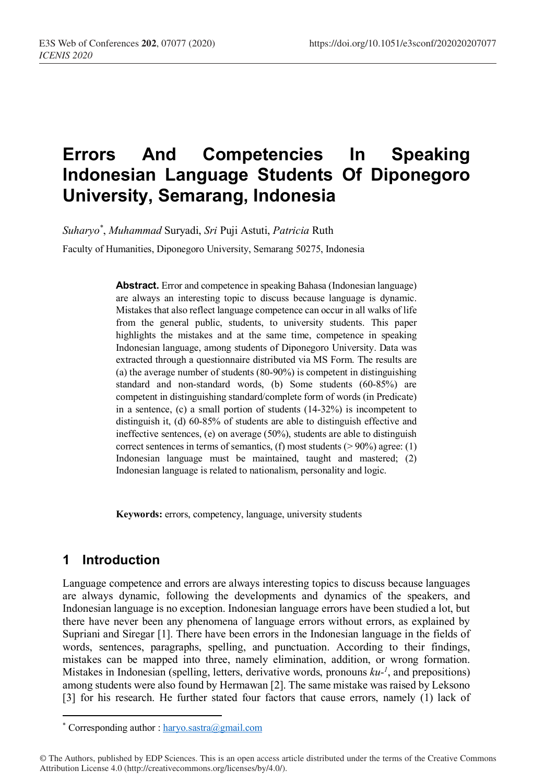# **Errors And Competencies In Speaking Indonesian Language Students Of Diponegoro University, Semarang, Indonesia**

*Suharyo\** , *Muhammad* Suryadi, *Sri* Puji Astuti, *Patricia* Ruth Faculty of Humanities, Diponegoro University, Semarang 50275, Indonesia

> **Abstract.** Error and competence in speaking Bahasa (Indonesian language) are always an interesting topic to discuss because language is dynamic. Mistakes that also reflect language competence can occur in all walks of life from the general public, students, to university students. This paper highlights the mistakes and at the same time, competence in speaking Indonesian language, among students of Diponegoro University. Data was extracted through a questionnaire distributed via MS Form. The results are (a) the average number of students (80-90%) is competent in distinguishing standard and non-standard words, (b) Some students (60-85%) are competent in distinguishing standard/complete form of words (in Predicate) in a sentence, (c) a small portion of students (14-32%) is incompetent to distinguish it, (d) 60-85% of students are able to distinguish effective and ineffective sentences, (e) on average (50%), students are able to distinguish correct sentences in terms of semantics, (f) most students ( $> 90\%$ ) agree: (1) Indonesian language must be maintained, taught and mastered; (2) Indonesian language is related to nationalism, personality and logic.

**Keywords:** errors, competency, language, university students

## **1 Introduction**

 $\overline{\phantom{a}}$ 

Language competence and errors are always interesting topics to discuss because languages are always dynamic, following the developments and dynamics of the speakers, and Indonesian language is no exception. Indonesian language errors have been studied a lot, but there have never been any phenomena of language errors without errors, as explained by Supriani and Siregar [1]. There have been errors in the Indonesian language in the fields of words, sentences, paragraphs, spelling, and punctuation. According to their findings, mistakes can be mapped into three, namely elimination, addition, or wrong formation. Mistakes in Indonesian (spelling, letters, derivative words, pronouns *ku-1* , and prepositions) among students were also found by Hermawan [2]. The same mistake was raised by Leksono [3] for his research. He further stated four factors that cause errors, namely (1) lack of

<sup>\*</sup> Corresponding author : haryo.sastra@gmail.com

<sup>©</sup> The Authors, published by EDP Sciences. This is an open access article distributed under the terms of the Creative Commons Attribution License 4.0 (http://creativecommons.org/licenses/by/4.0/).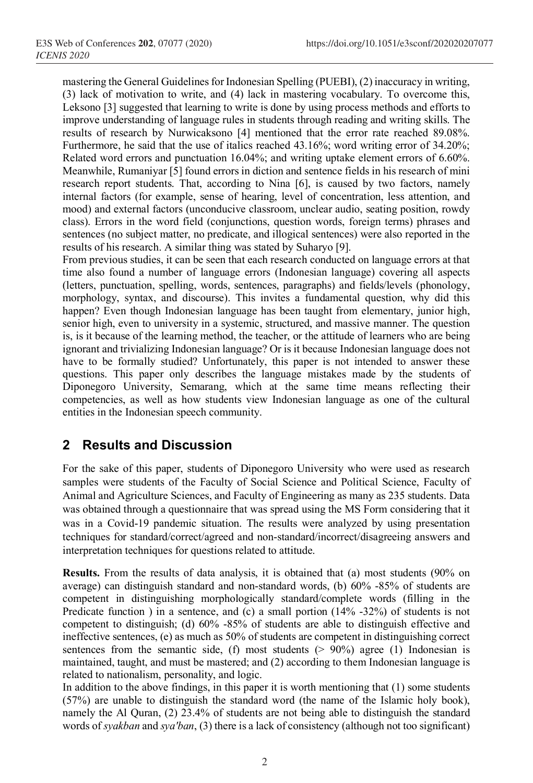mastering the General Guidelines for Indonesian Spelling (PUEBI), (2) inaccuracy in writing, (3) lack of motivation to write, and (4) lack in mastering vocabulary. To overcome this, Leksono [3] suggested that learning to write is done by using process methods and efforts to improve understanding of language rules in students through reading and writing skills. The results of research by Nurwicaksono [4] mentioned that the error rate reached 89.08%. Furthermore, he said that the use of italics reached 43.16%; word writing error of 34.20%; Related word errors and punctuation 16.04%; and writing uptake element errors of 6.60%. Meanwhile, Rumaniyar [5] found errors in diction and sentence fields in his research of mini research report students. That, according to Nina [6], is caused by two factors, namely internal factors (for example, sense of hearing, level of concentration, less attention, and mood) and external factors (unconducive classroom, unclear audio, seating position, rowdy class). Errors in the word field (conjunctions, question words, foreign terms) phrases and sentences (no subject matter, no predicate, and illogical sentences) were also reported in the results of his research. A similar thing was stated by Suharyo [9].

From previous studies, it can be seen that each research conducted on language errors at that time also found a number of language errors (Indonesian language) covering all aspects (letters, punctuation, spelling, words, sentences, paragraphs) and fields/levels (phonology, morphology, syntax, and discourse). This invites a fundamental question, why did this happen? Even though Indonesian language has been taught from elementary, junior high, senior high, even to university in a systemic, structured, and massive manner. The question is, is it because of the learning method, the teacher, or the attitude of learners who are being ignorant and trivializing Indonesian language? Or is it because Indonesian language does not have to be formally studied? Unfortunately, this paper is not intended to answer these questions. This paper only describes the language mistakes made by the students of Diponegoro University, Semarang, which at the same time means reflecting their competencies, as well as how students view Indonesian language as one of the cultural entities in the Indonesian speech community.

### **2 Results and Discussion**

For the sake of this paper, students of Diponegoro University who were used as research samples were students of the Faculty of Social Science and Political Science, Faculty of Animal and Agriculture Sciences, and Faculty of Engineering as many as 235 students. Data was obtained through a questionnaire that was spread using the MS Form considering that it was in a Covid-19 pandemic situation. The results were analyzed by using presentation techniques for standard/correct/agreed and non-standard/incorrect/disagreeing answers and interpretation techniques for questions related to attitude.

**Results.** From the results of data analysis, it is obtained that (a) most students (90% on average) can distinguish standard and non-standard words, (b) 60% -85% of students are competent in distinguishing morphologically standard/complete words (filling in the Predicate function ) in a sentence, and (c) a small portion  $(14\% -32\%)$  of students is not competent to distinguish; (d) 60% -85% of students are able to distinguish effective and ineffective sentences, (e) as much as 50% of students are competent in distinguishing correct sentences from the semantic side, (f) most students  $(> 90\%)$  agree (1) Indonesian is maintained, taught, and must be mastered; and (2) according to them Indonesian language is related to nationalism, personality, and logic.

In addition to the above findings, in this paper it is worth mentioning that (1) some students (57%) are unable to distinguish the standard word (the name of the Islamic holy book), namely the Al Quran, (2) 23.4% of students are not being able to distinguish the standard words of *syakban* and *sya'ban*, (3) there is a lack of consistency (although not too significant)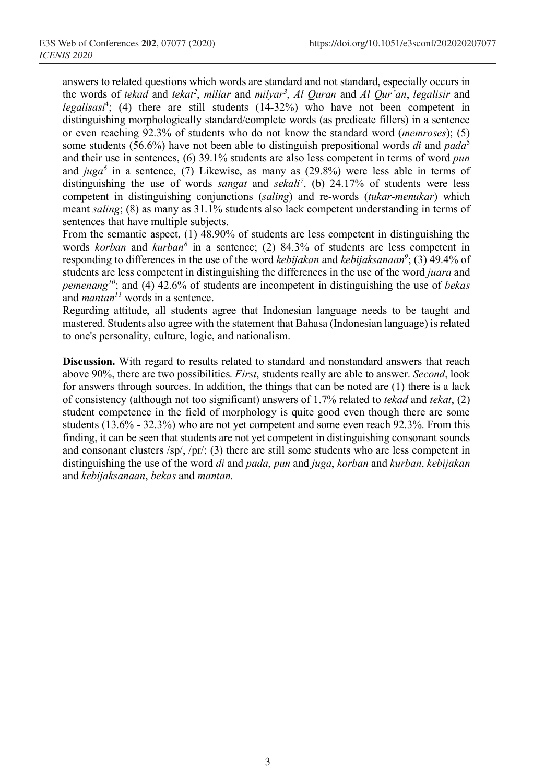answers to related questions which words are standard and not standard, especially occurs in the words of *tekad* and *tekat2* , *miliar* and *milyar3* , *Al Quran* and *Al Qur'an*, *legalisir* and *legalisasi*<sup>4</sup> ; (4) there are still students (14-32%) who have not been competent in distinguishing morphologically standard/complete words (as predicate fillers) in a sentence or even reaching 92.3% of students who do not know the standard word (*memroses*); (5) some students (56.6%) have not been able to distinguish prepositional words *di* and *pada*<sup>5</sup> and their use in sentences, (6) 39.1% students are also less competent in terms of word *pun* and  $juga^6$  in a sentence, (7) Likewise, as many as  $(29.8\%)$  were less able in terms of distinguishing the use of words *sangat* and *sekali<sup>7</sup>*, (b) 24.17% of students were less competent in distinguishing conjunctions (*saling*) and re-words (*tukar-menukar*) which meant *saling*; (8) as many as 31.1% students also lack competent understanding in terms of sentences that have multiple subjects.

From the semantic aspect, (1) 48.90% of students are less competent in distinguishing the words *korban* and *kurban8* in a sentence; (2) 84.3% of students are less competent in responding to differences in the use of the word *kebijakan* and *kebijaksanaan9* ; (3) 49.4% of students are less competent in distinguishing the differences in the use of the word *juara* and *pemenang10*; and (4) 42.6% of students are incompetent in distinguishing the use of *bekas* and *mantan11* words in a sentence.

Regarding attitude, all students agree that Indonesian language needs to be taught and mastered. Students also agree with the statement that Bahasa (Indonesian language) is related to one's personality, culture, logic, and nationalism.

**Discussion.** With regard to results related to standard and nonstandard answers that reach above 90%, there are two possibilities. *First*, students really are able to answer. *Second*, look for answers through sources. In addition, the things that can be noted are (1) there is a lack of consistency (although not too significant) answers of 1.7% related to *tekad* and *tekat*, (2) student competence in the field of morphology is quite good even though there are some students (13.6% - 32.3%) who are not yet competent and some even reach 92.3%. From this finding, it can be seen that students are not yet competent in distinguishing consonant sounds and consonant clusters  $\langle sp/$ ,  $\langle pr/$ ; (3) there are still some students who are less competent in distinguishing the use of the word *di* and *pada*, *pun* and *juga*, *korban* and *kurban*, *kebijakan* and *kebijaksanaan*, *bekas* and *mantan*.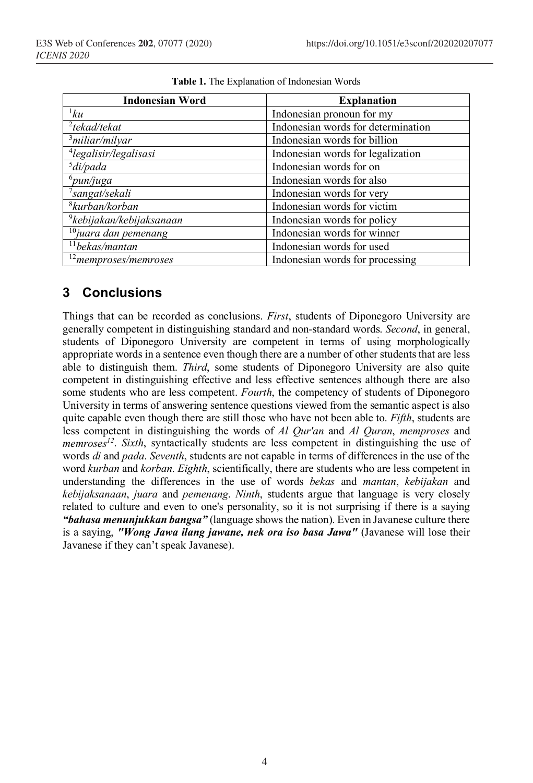| <b>Indonesian Word</b>               | <b>Explanation</b>                 |  |  |  |
|--------------------------------------|------------------------------------|--|--|--|
| 1ku                                  | Indonesian pronoun for my          |  |  |  |
| $2$ tekad/tekat                      | Indonesian words for determination |  |  |  |
| $3$ miliar/milyar                    | Indonesian words for billion       |  |  |  |
| <sup>4</sup> legalisir/legalisasi    | Indonesian words for legalization  |  |  |  |
| $3$ di/pada                          | Indonesian words for on            |  |  |  |
| $^6$ pun/juga                        | Indonesian words for also          |  |  |  |
| <sup>7</sup> sangat/sekali           | Indonesian words for very          |  |  |  |
| <sup>8</sup> kurban/korban           | Indonesian words for victim        |  |  |  |
| <sup>9</sup> kebijakan/kebijaksanaan | Indonesian words for policy        |  |  |  |
| $10$ juara dan pemenang              | Indonesian words for winner        |  |  |  |
| $11$ bekas/mantan                    | Indonesian words for used          |  |  |  |
| <sup>12</sup> memproses/memroses     | Indonesian words for processing    |  |  |  |

|  |  |  |  |  |  |  |  | Table 1. The Explanation of Indonesian Words |
|--|--|--|--|--|--|--|--|----------------------------------------------|
|--|--|--|--|--|--|--|--|----------------------------------------------|

#### **3 Conclusions**

Things that can be recorded as conclusions. *First*, students of Diponegoro University are generally competent in distinguishing standard and non-standard words. *Second*, in general, students of Diponegoro University are competent in terms of using morphologically appropriate words in a sentence even though there are a number of other students that are less able to distinguish them. *Third*, some students of Diponegoro University are also quite competent in distinguishing effective and less effective sentences although there are also some students who are less competent. *Fourth*, the competency of students of Diponegoro University in terms of answering sentence questions viewed from the semantic aspect is also quite capable even though there are still those who have not been able to. *Fifth*, students are less competent in distinguishing the words of *Al Qur'an* and *Al Quran*, *memproses* and *memroses<sup>12</sup>*. *Sixth*, syntactically students are less competent in distinguishing the use of words *di* and *pada*. *Seventh*, students are not capable in terms of differences in the use of the word *kurban* and *korban*. *Eighth*, scientifically, there are students who are less competent in understanding the differences in the use of words *bekas* and *mantan*, *kebijakan* and *kebijaksanaan*, *juara* and *pemenang*. *Ninth*, students argue that language is very closely related to culture and even to one's personality, so it is not surprising if there is a saying *"bahasa menunjukkan bangsa"* (language shows the nation). Even in Javanese culture there is a saying, *"Wong Jawa ilang jawane, nek ora iso basa Jawa"* (Javanese will lose their Javanese if they can't speak Javanese).